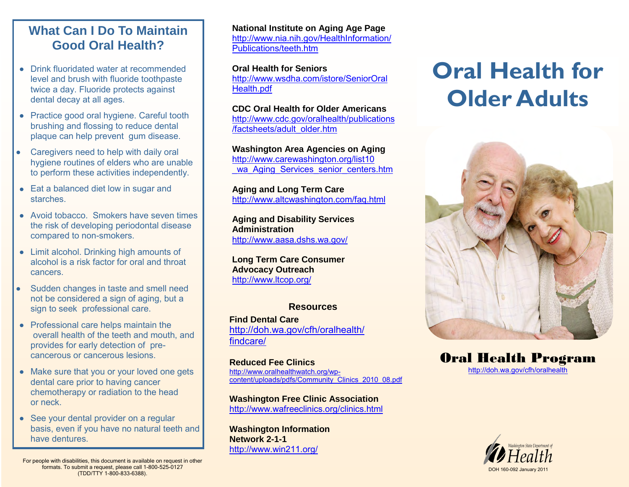## **What Can I Do To Maintain Good Oral Health?**

- Drink fluoridated water at recommended level and brush with fluoride toothpaste twice a day. Fluoride protects against dental decay at all ages.
- Practice good oral hygiene. Careful tooth brushing and flossing to reduce dental plaque can help prevent gum disease.
- Caregivers need to help with daily oral  $\bullet$ hygiene routines of elders who are unable to perform these activities independently.
- Eat a balanced diet low in sugar and starches.
- Avoid tobacco. Smokers have seven times the risk of developing periodontal disease compared to non-smokers.
- Limit alcohol. Drinking high amounts of alcohol is a risk factor for oral and throat cancers.
- Sudden changes in taste and smell need not be considered a sign of aging, but a sign to seek professional care.
- Professional care helps maintain the overall health of the teeth and mouth, and provides for early detection of precancerous or cancerous lesions.
- Make sure that you or your loved one gets dental care prior to having cancer chemotherapy or radiation to the head or neck.
- See your dental provider on a regular basis, even if you have no natural teeth and have dentures.

**National Institute on Aging Age Page**  [http://www.nia.nih.gov/HealthInformation/](http://www.nia.nih.gov/HealthInformation/Publications/teeth.htm) [Publications/teeth.htm](http://www.nia.nih.gov/HealthInformation/Publications/teeth.htm)

**Oral Health for Seniors**  [http://www.wsdha.com/istore/SeniorOral](http://www.wsdha.com/istore/SeniorOralHealth.pdf)  [Health.pdf](http://www.wsdha.com/istore/SeniorOralHealth.pdf)

**CDC Oral Health for Older Americans** 

[http://www.cdc.gov/oralhealth/publications](http://www.cdc.gov/oralhealth/publications/factsheets/adult_older.htm) [/factsheets/adult\\_older.htm](http://www.cdc.gov/oralhealth/publications/factsheets/adult_older.htm) 

**Washington Area Agencies on Aging**  [http://www.carewashington.org/list10](http://www.carewashington.org/list10_wa_Aging_Services_senior_centers.htm)  wa Aging Services senior centers.htm

**Aging and Long Term Care**  <http://www.altcwashington.com/faq.html>

**Aging and Disability Services Administration**  <http://www.aasa.dshs.wa.gov/>

**Long Term Care Consumer Advocacy Outreach**  <http://www.ltcop.org/>

#### **Resources**

**Find Dental Care**  [http://doh.wa.gov/cfh/oralhealth/](http://doh.wa.gov/cfh/oralhealth/findcare/default.htm)  [findcare/](http://doh.wa.gov/cfh/oralhealth/findcare/default.htm)

**Reduced Fee Clinics**  [http://www.oralhealthwatch.org/wp](http://www.oralhealthwatch.org/wp-content/uploads/pdfs/Community_Clinics_2010_08.pdf)[content/uploads/pdfs/Community\\_Clinics\\_2010\\_08.pdf](http://www.oralhealthwatch.org/wp-content/uploads/pdfs/Community_Clinics_2010_08.pdf)

**Washington Free Clinic Association** <http://www.wafreeclinics.org/clinics.html>

**Washington Information Network 2-1-1**  <http://www.win211.org/>

# **Oral Health for Older Adults**



Oral Health Program [http://doh.wa.gov/cfh/oralhealth](http://doh.wa.gov/cfh/oralhealth/default.htm)



For people with disabilities, this document is available on request in other formats. To submit a request, please call 1-800-525-0127 (TDD/TTY 1-800-833-6388).